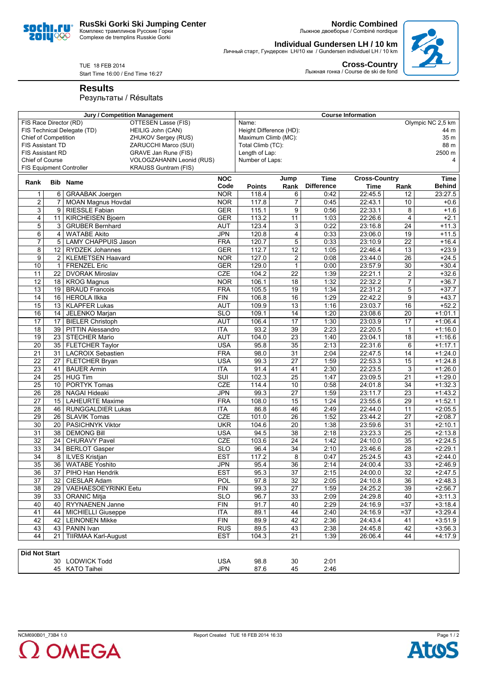

Комплекс трамплинов Русские Горки Complexe de tremplins Russkie Gorki

**Nordic Combined** Лыжное двоеборье / Combiné nordique

**Individual Gundersen LH / 10 km** Личный старт, Гундерсен LH/10 км / Gundersen individuel LH / 10 km



TUE 18 FEB 2014 Start Time 16:00 / End Time 16:27

**Cross-Country** Лыжная гонка / Course de ski de fond

**Results**

soch **2014 666** 

Результаты / Résultats

| <b>Jury / Competition Management</b>                 |                 |                                                                |                          | <b>Course Information</b> |                                 |                   |                      |                 |               |  |  |  |
|------------------------------------------------------|-----------------|----------------------------------------------------------------|--------------------------|---------------------------|---------------------------------|-------------------|----------------------|-----------------|---------------|--|--|--|
| FIS Race Director (RD)<br><b>OTTESEN Lasse (FIS)</b> |                 |                                                                |                          |                           | Olympic NC 2,5 km<br>Name:      |                   |                      |                 |               |  |  |  |
| HEILIG John (CAN)<br>FIS Technical Delegate (TD)     |                 |                                                                |                          |                           | Height Difference (HD):<br>44 m |                   |                      |                 |               |  |  |  |
| ZHUKOV Sergey (RUS)<br><b>Chief of Competition</b>   |                 |                                                                |                          |                           | Maximum Climb (MC):<br>35 m     |                   |                      |                 |               |  |  |  |
| <b>FIS Assistant TD</b><br>ZARUCCHI Marco (SUI)      |                 |                                                                |                          |                           | Total Climb (TC):<br>88 m       |                   |                      |                 |               |  |  |  |
| FIS Assistant RD                                     |                 | GRAVE Jan Rune (FIS)                                           | Length of Lap:<br>2500 m |                           |                                 |                   |                      |                 |               |  |  |  |
| Chief of Course                                      |                 | VOLOGZAHANIN Leonid (RUS)                                      | Number of Laps:<br>4     |                           |                                 |                   |                      |                 |               |  |  |  |
|                                                      |                 | <b>KRAUSS Guntram (FIS)</b><br><b>FIS Equipment Controller</b> |                          |                           |                                 |                   |                      |                 |               |  |  |  |
|                                                      |                 |                                                                | <b>NOC</b>               |                           |                                 |                   |                      |                 |               |  |  |  |
| <b>Bib Name</b><br>Rank                              |                 |                                                                |                          |                           | Jump                            | <b>Time</b>       | <b>Cross-Country</b> |                 | <b>Time</b>   |  |  |  |
|                                                      |                 |                                                                | Code                     | <b>Points</b>             | Rank                            | <b>Difference</b> | Time                 | Rank            | <b>Behind</b> |  |  |  |
| $\mathbf{1}$                                         | 6               | <b>GRAABAK Joergen</b>                                         | <b>NOR</b>               | 118.4                     | 6                               | 0:42              | 22:45.5              | 12              | 23:27.5       |  |  |  |
| $\overline{c}$                                       |                 | 7   MOAN Magnus Hovdal                                         | <b>NOR</b>               | 117.8                     | 7                               | 0:45              | 22:43.1              | 10              | $+0.6$        |  |  |  |
| 3                                                    | 9               | <b>RIESSLE Fabian</b>                                          | <b>GER</b>               | 115.1                     | 9                               | 0:56              | 22:33.1              | 8               | $+1.6$        |  |  |  |
| $\overline{4}$                                       | 11 <sup>1</sup> | <b>KIRCHEISEN Bjoern</b>                                       | <b>GER</b>               | 113.2                     | $\overline{11}$                 | 1:03              | 22:26.6              | 4               | $+2.1$        |  |  |  |
| 5                                                    | 3               | <b>GRUBER Bernhard</b>                                         | <b>AUT</b>               | 123.4                     | 3                               | 0:22              | 23:16.8              | 24              | $+11.3$       |  |  |  |
| 6                                                    | $\overline{4}$  | <b>WATABE Akito</b>                                            | <b>JPN</b>               | 120.8                     | 4                               | 0:33              | 23:06.0              | 19              | $+11.5$       |  |  |  |
| $\overline{7}$                                       | 5               | LAMY CHAPPUIS Jason                                            | <b>FRA</b>               | 120.7                     | 5                               | 0:33              | 23:10.9              | 22              | $+16.4$       |  |  |  |
|                                                      |                 |                                                                |                          |                           |                                 |                   |                      |                 |               |  |  |  |
| 8                                                    |                 | 12   RYDZEK Johannes                                           | <b>GER</b>               | 112.7                     | 12                              | 1:05              | 22:46.4              | 13              | $+23.9$       |  |  |  |
| 9                                                    | $\overline{2}$  | <b>KLEMETSEN Haavard</b>                                       | <b>NOR</b>               | 127.0                     | $\overline{c}$                  | 0:08              | 23:44.0              | 26              | $+24.5$       |  |  |  |
| 10                                                   | $\mathbf{1}$    | <b>FRENZEL Eric</b>                                            | <b>GER</b>               | 129.0                     | $\mathbf{1}$                    | 0:00              | 23:57.9              | $\overline{30}$ | $+30.4$       |  |  |  |
| 11                                                   | 22              | <b>DVORAK Miroslav</b>                                         | CZE                      | 104.2                     | 22                              | 1:39              | 22:21.1              | 2               | $+32.6$       |  |  |  |
| 12                                                   |                 | 18   KROG Magnus                                               | <b>NOR</b>               | 106.1                     | $\overline{18}$                 | 1:32              | 22:32.2              | $\overline{7}$  | $+36.7$       |  |  |  |
| 13                                                   |                 | 19   BRAUD Francois                                            | <b>FRA</b>               | 105.5                     | $\overline{19}$                 | 1:34              | 22:31.2              | 5               | $+37.7$       |  |  |  |
| 14                                                   |                 | 16   HEROLA Ilkka                                              | <b>FIN</b>               | 106.8                     | 16                              | 1:29              | 22:42.2              | 9               | $+43.7$       |  |  |  |
| 15                                                   |                 | 13   KLAPFER Lukas                                             | <b>AUT</b>               | 109.9                     | $\overline{13}$                 | 1:16              | 23:03.7              | 16              | $+52.2$       |  |  |  |
| 16                                                   |                 | 14 JELENKO Marjan                                              | <b>SLO</b>               | 109.1                     | 14                              | 1:20              | 23:08.6              | 20              | $+1:01.1$     |  |  |  |
|                                                      |                 |                                                                |                          |                           |                                 |                   |                      |                 |               |  |  |  |
| 17                                                   | 17              | <b>BIELER Christoph</b>                                        | <b>AUT</b>               | 106.4                     | 17                              | 1:30              | 23:03.9              | 17              | $+1:06.4$     |  |  |  |
| 18                                                   | 39              | <b>PITTIN Alessandro</b>                                       | <b>ITA</b>               | 93.2                      | $\overline{39}$                 | 2:23              | 22:20.5              | $\mathbf{1}$    | $+1:16.0$     |  |  |  |
| 19                                                   | 23              | <b>STECHER Mario</b>                                           | <b>AUT</b>               | 104.0                     | $\overline{23}$                 | 1:40              | 23:04.1              | 18              | $+1:16.6$     |  |  |  |
| 20                                                   | 35              | FLETCHER Taylor                                                | <b>USA</b>               | 95.8                      | 35                              | 2:13              | 22:31.6              | 6               | $+1:17.1$     |  |  |  |
| $\overline{21}$                                      | 31              | <b>LACROIX Sebastien</b>                                       | <b>FRA</b>               | 98.0                      | $\overline{31}$                 | 2:04              | 22:47.5              | $\overline{14}$ | $+1:24.0$     |  |  |  |
| $\overline{22}$                                      |                 | 27   FLETCHER Bryan                                            | <b>USA</b>               | 99.3                      | $\overline{27}$                 | 1:59              | 22:53.3              | 15              | $+1:24.8$     |  |  |  |
| 23                                                   | 41              | <b>BAUER Armin</b>                                             | <b>ITA</b>               | 91.4                      | 41                              | 2:30              | 22:23.5              | 3               | $+1:26.0$     |  |  |  |
| 24                                                   | 25              | <b>HUG Tim</b>                                                 | SUI                      | 102.3                     | $\overline{25}$                 | 1:47              | 23:09.5              | 21              | $+1:29.0$     |  |  |  |
| $\overline{25}$                                      | 10              | <b>PORTYK Tomas</b>                                            | <b>CZE</b>               | 114.4                     | 10                              | 0:58              | 24:01.8              | 34              | $+1:32.3$     |  |  |  |
| 26                                                   | 28              | <b>NAGAI Hideaki</b>                                           | <b>JPN</b>               | 99.3                      | 27                              | 1:59              | 23:11.7              | 23              | $+1:43.2$     |  |  |  |
| $\overline{27}$                                      | 15              | <b>LAHEURTE Maxime</b>                                         | <b>FRA</b>               | 108.0                     | 15                              | 1:24              | 23:55.6              | 29              | $+1:52.1$     |  |  |  |
|                                                      |                 |                                                                |                          |                           |                                 |                   |                      |                 |               |  |  |  |
| 28                                                   | 46              | RUNGGALDIER Lukas                                              | <b>ITA</b>               | 86.8                      | 46                              | 2:49              | 22:44.0              | 11              | $+2:05.5$     |  |  |  |
| 29                                                   |                 | 26   SLAVIK Tomas                                              | <b>CZE</b>               | 101.0                     | 26                              | 1:52              | 23:44.2              | 27              | $+2:08.7$     |  |  |  |
| 30                                                   | 20              | <b>PASICHNYK Viktor</b>                                        | <b>UKR</b>               | 104.6                     | $\overline{20}$                 | 1:38              | 23:59.6              | 31              | $+2:10.1$     |  |  |  |
| 31                                                   | 38              | <b>DEMONG Bill</b>                                             | <b>USA</b>               | 94.5                      | 38                              | 2:18              | 23:23.3              | 25              | $+2:13.8$     |  |  |  |
| $\overline{32}$                                      | 24              | <b>CHURAVY Pavel</b>                                           | CZE                      | 103.6                     | $\overline{24}$                 | 1:42              | 24:10.0              | 35              | $+2:24.5$     |  |  |  |
| 33                                                   | 34              | <b>BERLOT Gasper</b>                                           | <b>SLO</b>               | 96.4                      | $\overline{34}$                 | 2:10              | 23:46.6              | 28              | $+2:29.1$     |  |  |  |
| $\overline{34}$                                      |                 | 8   ILVES Kristjan                                             | <b>EST</b>               | 117.2                     | 8                               | 0:47              | 25:24.5              | 43              | $+2:44.0$     |  |  |  |
| 35                                                   |                 | 36 WATABE Yoshito                                              | <b>JPN</b>               | 95.4                      | 36                              | 2:14              | 24:00.4              | 33              | $+2:46.9$     |  |  |  |
| 36                                                   |                 | 37   PIHO Han Hendrik                                          | <b>EST</b>               | 95.3                      | $\overline{37}$                 | 2:15              | 24:00.0              | 32              | $+2:47.5$     |  |  |  |
| $\overline{37}$                                      |                 | 32   CIESLAR Adam                                              | POL                      | 97.8                      | 32                              | 2:05              | 24:10.8              | 36              | $+2:48.3$     |  |  |  |
|                                                      |                 |                                                                |                          |                           |                                 |                   |                      |                 |               |  |  |  |
| $\overline{38}$                                      |                 | 29 VAEHAESOEYRINKI Eetu                                        | FIN                      | 99.3                      | $\overline{27}$                 | 1:59              | 24:25.2              | $\overline{39}$ | $+2:56.7$     |  |  |  |
| 39                                                   |                 | 33   ORANIC Mitja                                              | <b>SLO</b>               | 96.7                      | 33                              | 2:09              | 24:29.8              | 40              | $+3:11.3$     |  |  |  |
| 40                                                   |                 | 40   RYYNAENEN Janne                                           | <b>FIN</b>               | 91.7                      | 40                              | 2:29              | 24:16.9              | $= 37$          | $+3:18.4$     |  |  |  |
| 41                                                   |                 | 44   MICHIELLI Giuseppe                                        | <b>ITA</b>               | 89.1                      | 44                              | 2:40              | 24:16.9              | $= 37$          | $+3:29.4$     |  |  |  |
| 42                                                   |                 | 42   LEINONEN Mikke                                            | <b>FIN</b>               | 89.9                      | 42                              | 2:36              | 24:43.4              | 41              | $+3:51.9$     |  |  |  |
| 43                                                   |                 | 43   PANIN Ivan                                                | RUS                      | 89.5                      | 43                              | 2:38              | 24:45.8              | 42              | $+3:56.3$     |  |  |  |
| 44                                                   | 21              | <b>TIIRMAA Karl-August</b>                                     | <b>EST</b>               | 104.3                     | 21                              | 1:39              | 26:06.4              | 44              | $+4:17.9$     |  |  |  |
|                                                      |                 |                                                                |                          |                           |                                 |                   |                      |                 |               |  |  |  |
| <b>Did Not Start</b>                                 |                 |                                                                |                          |                           |                                 |                   |                      |                 |               |  |  |  |
|                                                      |                 |                                                                |                          |                           |                                 |                   |                      |                 |               |  |  |  |
|                                                      |                 | 30 LODWICK Todd                                                | <b>USA</b>               | 98.8                      | 30                              | 2:01              |                      |                 |               |  |  |  |
|                                                      |                 | 45 KATO Taihei                                                 | <b>JPN</b>               | 87.6                      | 45                              | 2:46              |                      |                 |               |  |  |  |